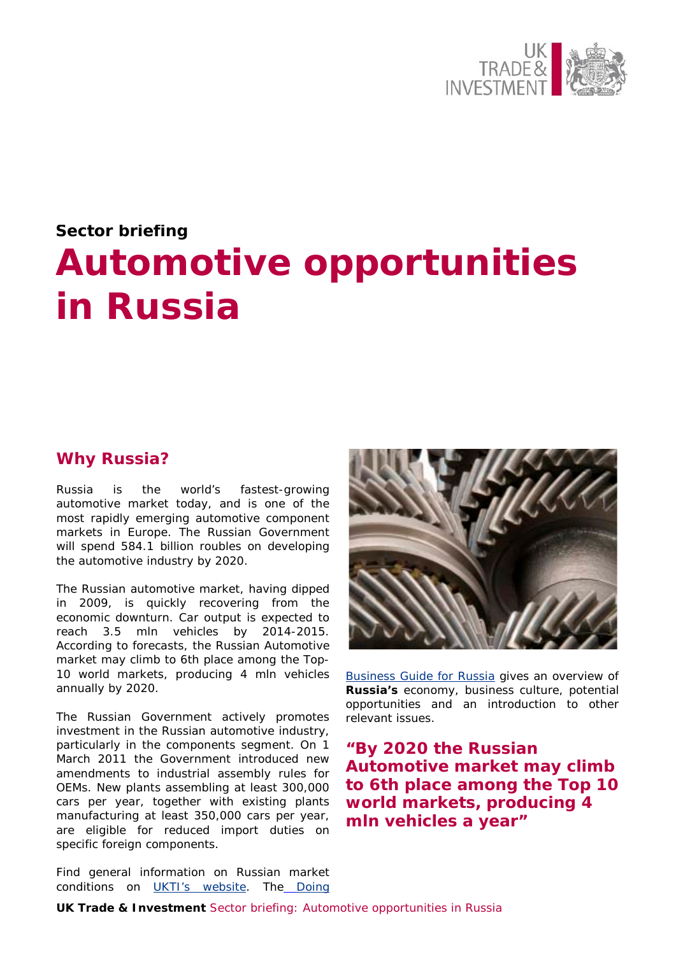

# **Sector briefing Automotive opportunities in Russia**

### **Why Russia?**

Russia is the world's fastest-growing automotive market today, and is one of the most rapidly emerging automotive component markets in Europe. The Russian Government will spend 584.1 billion roubles on developing the automotive industry by 2020.

The Russian automotive market, having dipped in 2009, is quickly recovering from the economic downturn. Car output is expected to reach 3.5 mln vehicles by 2014-2015. According to forecasts, the Russian Automotive market may climb to 6th place among the Top-10 world markets, producing 4 mln vehicles annually by 2020.

The Russian Government actively promotes investment in the Russian automotive industry, particularly in the components segment. On 1 March 2011 the Government introduced new amendments to industrial assembly rules for OEMs. New plants assembling at least 300,000 cars per year, together with existing plants manufacturing at least 350,000 cars per year, are eligible for reduced import duties on specific foreign components.

Find general information on Russian market conditions on [UKTI's website.](http://www.ukti.gov.uk/export/countries/europe/easterneurope/russia.html) The Doing



**[Business Guide for Russia](http://www.ukti.gov.uk/export/countries/europe/easterneurope/russia/item/108330.html) gives an overview of Russia's** economy, business culture, potential opportunities and an introduction to other relevant issues.

**"By 2020 the Russian Automotive market may climb to 6th place among the Top 10 world markets, producing 4 mln vehicles a year"**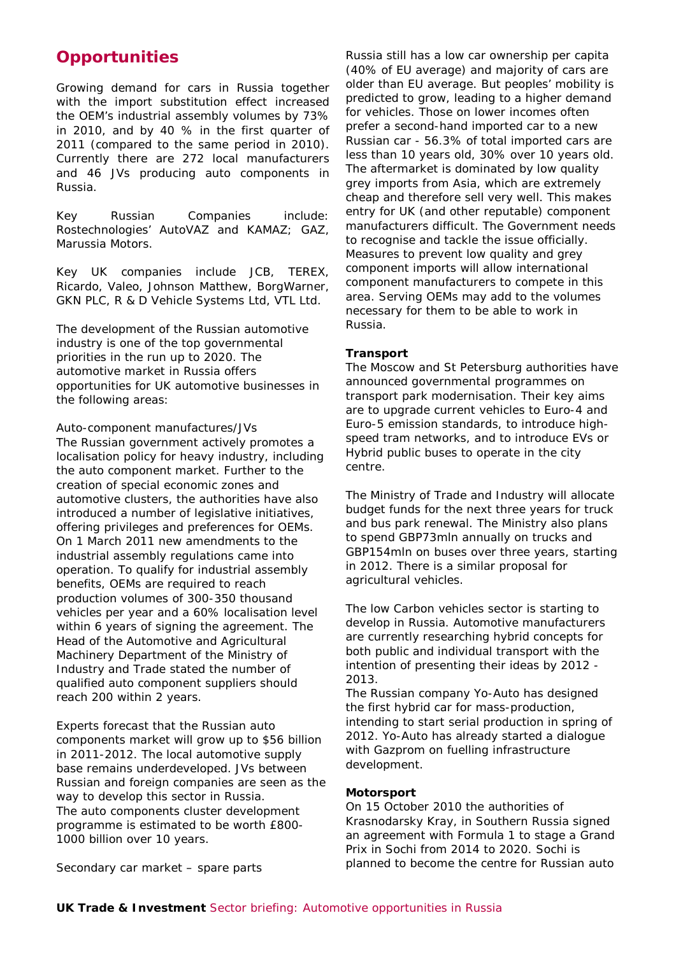## **Opportunities**

Growing demand for cars in Russia together with the import substitution effect increased the OEM's industrial assembly volumes by 73% in 2010, and by 40 % in the first quarter of 2011 (compared to the same period in 2010). Currently there are 272 local manufacturers and 46 JVs producing auto components in Russia.

Key Russian Companies include: Rostechnologies' AutoVAZ and KAMAZ; GAZ, Marussia Motors.

Key UK companies include JCB, TEREX, Ricardo, Valeo, Johnson Matthew, BorgWarner, GKN PLC, R & D Vehicle Systems Ltd, VTL Ltd.

The development of the Russian automotive industry is one of the top governmental priorities in the run up to 2020. The automotive market in Russia offers opportunities for UK automotive businesses in the following areas:

Auto-component manufactures/JVs The Russian government actively promotes a localisation policy for heavy industry, including the auto component market. Further to the creation of special economic zones and automotive clusters, the authorities have also introduced a number of legislative initiatives, offering privileges and preferences for OEMs. On 1 March 2011 new amendments to the industrial assembly regulations came into operation. To qualify for industrial assembly benefits, OEMs are required to reach production volumes of 300-350 thousand vehicles per year and a 60% localisation level within 6 years of signing the agreement. The Head of the Automotive and Agricultural Machinery Department of the Ministry of Industry and Trade stated the number of qualified auto component suppliers should reach 200 within 2 years.

Experts forecast that the Russian auto components market will grow up to \$56 billion in 2011-2012. The local automotive supply base remains underdeveloped. JVs between Russian and foreign companies are seen as the way to develop this sector in Russia. The auto components cluster development programme is estimated to be worth £800- 1000 billion over 10 years.

Russia still has a low car ownership per capita (40% of EU average) and majority of cars are older than EU average. But peoples' mobility is predicted to grow, leading to a higher demand for vehicles. Those on lower incomes often prefer a second-hand imported car to a new Russian car - 56.3% of total imported cars are less than 10 years old, 30% over 10 years old. The aftermarket is dominated by low quality grey imports from Asia, which are extremely cheap and therefore sell very well. This makes entry for UK (and other reputable) component manufacturers difficult. The Government needs to recognise and tackle the issue officially. Measures to prevent low quality and grey component imports will allow international component manufacturers to compete in this area. Serving OEMs may add to the volumes necessary for them to be able to work in Russia.

#### **Transport**

The Moscow and St Petersburg authorities have announced governmental programmes on transport park modernisation. Their key aims are to upgrade current vehicles to Euro-4 and Euro-5 emission standards, to introduce highspeed tram networks, and to introduce EVs or Hybrid public buses to operate in the city centre.

The Ministry of Trade and Industry will allocate budget funds for the next three years for truck and bus park renewal. The Ministry also plans to spend GBP73mln annually on trucks and GBP154mln on buses over three years, starting in 2012. There is a similar proposal for agricultural vehicles.

The low Carbon vehicles sector is starting to develop in Russia. Automotive manufacturers are currently researching hybrid concepts for both public and individual transport with the intention of presenting their ideas by 2012 - 2013.

The Russian company Yo-Auto has designed the first hybrid car for mass-production, intending to start serial production in spring of 2012. Yo-Auto has already started a dialogue with Gazprom on fuelling infrastructure development.

#### **Motorsport**

On 15 October 2010 the authorities of Krasnodarsky Kray, in Southern Russia signed an agreement with Formula 1 to stage a Grand Prix in Sochi from 2014 to 2020. Sochi is planned to become the centre for Russian auto

Secondary car market – spare parts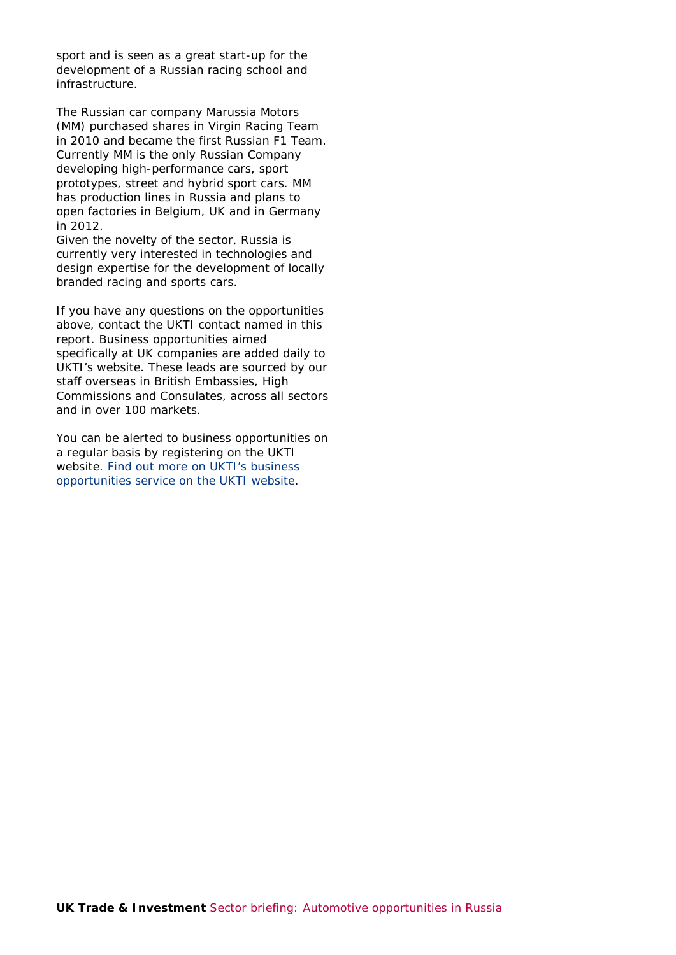sport and is seen as a great start-up for the development of a Russian racing school and infrastructure.

The Russian car company Marussia Motors (MM) purchased shares in Virgin Racing Team in 2010 and became the first Russian F1 Team. Currently MM is the only Russian Company developing high-performance cars, sport prototypes, street and hybrid sport cars. MM has production lines in Russia and plans to open factories in Belgium, UK and in Germany in 2012.

Given the novelty of the sector, Russia is currently very interested in technologies and design expertise for the development of locally branded racing and sports cars.

If you have any questions on the opportunities above, contact the UKTI contact named in this report. Business opportunities aimed specifically at UK companies are added daily to UKTI's website. These leads are sourced by our staff overseas in British Embassies, High Commissions and Consulates, across all sectors and in over 100 markets.

You can be alerted to business opportunities on a regular basis by registering on the UKTI website. [Find out more on UKTI's business](http://www.ukti.gov.uk/export/howwehelp/businessopportunityalerts.html)  [opportunities service on the UKTI website.](http://www.ukti.gov.uk/export/howwehelp/businessopportunityalerts.html)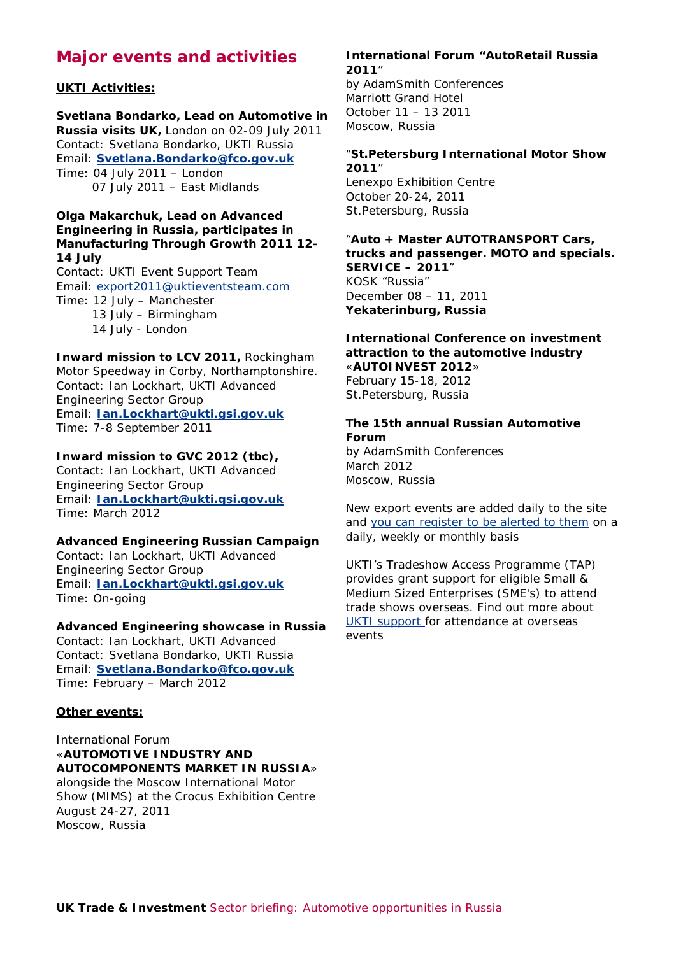# **Major events and activities**

#### **UKTI Activities:**

**Svetlana Bondarko, Lead on Automotive in Russia visits UK,** London on 02-09 July 2011 Contact: Svetlana Bondarko, UKTI Russia Email: **[Svetlana.Bondarko@fco.gov.uk](mailto:Svetlana.Bondarko@fco.gov.uk)** Time: 04 July 2011 – London 07 July 2011 – East Midlands

#### **Olga Makarchuk, Lead on Advanced Engineering in Russia, participates in Manufacturing Through Growth 2011 12- 14 July**

Contact: UKTI Event Support Team Email: [export2011@uktieventsteam.com](mailto:export2011@uktieventsteam.com) Time: 12 July – Manchester 13 July – Birmingham 14 July - London

#### **Inward mission to LCV 2011,** Rockingham Motor Speedway in Corby, Northamptonshire. Contact: Ian Lockhart, UKTI Advanced Engineering Sector Group Email: **[Ian.Lockhart@ukti.gsi.gov.uk](mailto:Ian.Lockhart@ukti.gsi.gov.uk)** Time: 7-8 September 2011

#### **Inward mission to GVC 2012 (tbc),**

Contact: Ian Lockhart, UKTI Advanced Engineering Sector Group Email: **[Ian.Lockhart@ukti.gsi.gov.uk](mailto:Ian.Lockhart@ukti.gsi.gov.uk)** Time: March 2012

#### **Advanced Engineering Russian Campaign**

Contact: Ian Lockhart, UKTI Advanced Engineering Sector Group Email: **[Ian.Lockhart@ukti.gsi.gov.uk](mailto:Ian.Lockhart@ukti.gsi.gov.uk)** Time: On-going

#### **Advanced Engineering showcase in Russia**

Contact: Ian Lockhart, UKTI Advanced Contact: Svetlana Bondarko, UKTI Russia Email: **[Svetlana.Bondarko@fco.gov.uk](mailto:Svetlana.Bondarko@fco.gov.uk)** Time: February – March 2012

#### **Other events:**

#### International Forum «**AUTOMOTIVE INDUSTRY AND AUTOCOMPONENTS MARKET IN RUSSIA**»

alongside the Moscow International Motor Show (MIMS) at the Crocus Exhibition Centre August 24-27, 2011 Moscow, Russia

#### **International Forum "AutoRetail Russia 2011**"

by AdamSmith Conferences Marriott Grand Hotel October 11 – 13 2011 Moscow, Russia

#### "**St.Petersburg International Motor Show 2011**"

Lenexpo Exhibition Centre October 20-24, 2011 St.Petersburg, Russia

#### "**Auto + Master AUTOTRANSPORT Cars, trucks and passenger. MOTO and specials. SERVICE – 2011**" KOSK "Russia" December 08 – 11, 2011 **Yekaterinburg, Russia**

#### **International Conference on investment attraction to the automotive industry**  «**AUTOINVEST 2012**»

February 15-18, 2012 St.Petersburg, Russia

#### **The 15th annual Russian Automotive Forum**

by AdamSmith Conferences March 2012 Moscow, Russia

New export events are added daily to the site and [you can register to be alerted to them](https://www.ukti.gov.uk/uktihome/register.html) on a daily, weekly or monthly basis

UKTI's Tradeshow Access Programme (TAP) provides grant support for eligible Small & Medium Sized Enterprises (SME's) to attend trade shows overseas. Find out more about [UKTI support](http://www.ukti.gov.uk/export/howwehelp/tradefairsexhibitions.html) for attendance at overseas events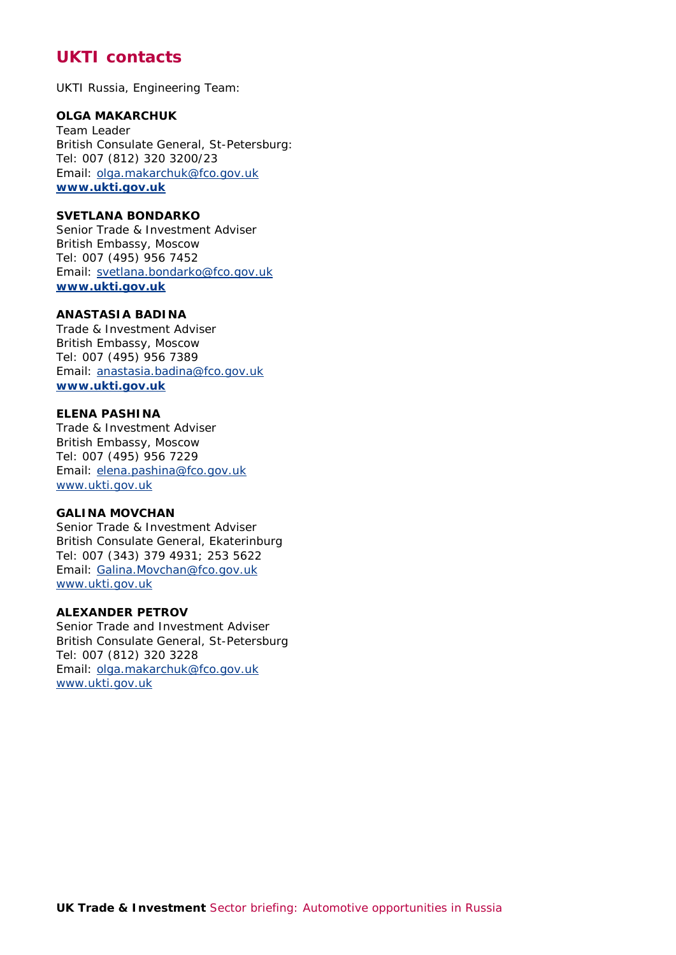# **UKTI contacts**

UKTI Russia, Engineering Team:

#### **OLGA MAKARCHUK**

Team Leader British Consulate General, St-Petersburg: Tel: 007 (812) 320 3200/23 Email: [olga.makarchuk@fco.gov.uk](mailto:olga.makarchuk@fco.gov.uk)  **www.ukti.gov.uk** 

#### **SVETLANA BONDARKO**

Senior Trade & Investment Adviser British Embassy, Moscow Tel: 007 (495) 956 7452 Email: [svetlana.bondarko@fco.gov.uk](mailto:svetlana.bondarko@fco.gov.uk)  **www.ukti.gov.uk** 

#### **ANASTASIA BADINA**

Trade & Investment Adviser British Embassy, Moscow Tel: 007 (495) 956 7389 Email: [anastasia.badina@fco.gov.uk](mailto:anastasia.badina@fco.gov.uk)  **[www.ukti.gov.uk](http://www.ukti.gov.uk/)** 

#### **ELENA PASHINA**

Trade & Investment Adviser British Embassy, Moscow Tel: 007 (495) 956 7229 Email: [elena.pashina@fco.gov.uk](mailto:elena.pashina@fco.gov.uk) www.ukti.gov.uk

#### **GALINA MOVCHAN**

Senior Trade & Investment Adviser British Consulate General, Ekaterinburg Tel: 007 (343) 379 4931; 253 5622 Email: [Galina.Movchan@fco.gov.uk](mailto:Galina.Movchan@fco.gov.uk)  www.ukti.gov.uk

#### **ALEXANDER PETROV**

Senior Trade and Investment Adviser British Consulate General, St-Petersburg Tel: 007 (812) 320 3228 Email: [olga.makarchuk@fco.gov.uk](mailto:olga.makarchuk@fco.gov.uk) www.ukti.gov.uk